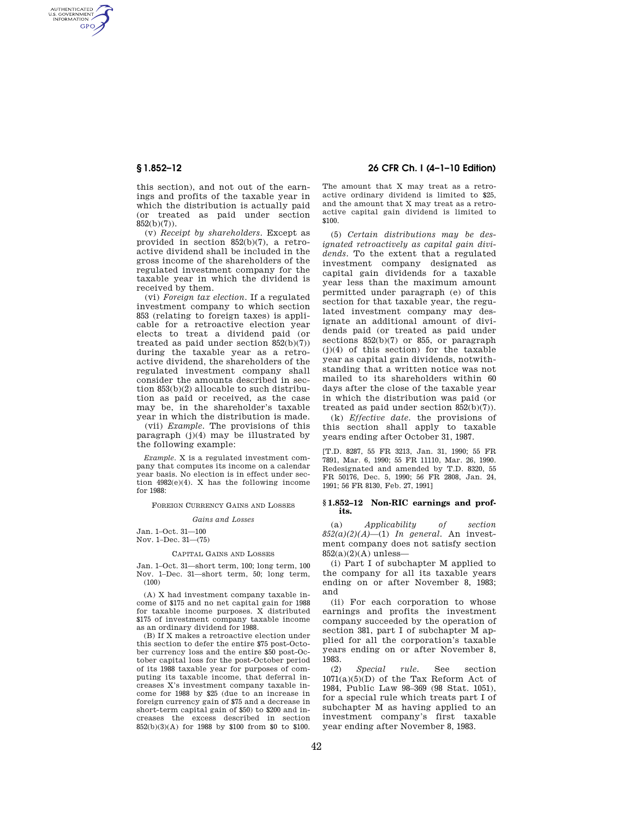AUTHENTICATED<br>U.S. GOVERNMENT<br>INFORMATION **GPO** 

> this section), and not out of the earnings and profits of the taxable year in which the distribution is actually paid (or treated as paid under section 852(b)(7)).

> (v) *Receipt by shareholders.* Except as provided in section 852(b)(7), a retroactive dividend shall be included in the gross income of the shareholders of the regulated investment company for the taxable year in which the dividend is received by them.

> (vi) *Foreign tax election.* If a regulated investment company to which section 853 (relating to foreign taxes) is applicable for a retroactive election year elects to treat a dividend paid (or treated as paid under section  $852(b)(7)$ ) during the taxable year as a retroactive dividend, the shareholders of the regulated investment company shall consider the amounts described in section 853(b)(2) allocable to such distribution as paid or received, as the case may be, in the shareholder's taxable year in which the distribution is made.

> (vii) *Example.* The provisions of this  $\frac{1}{10}$  paragraph (j)(4) may be illustrated by the following example:

> *Example.* X is a regulated investment company that computes its income on a calendar year basis. No election is in effect under section  $4982(e)(4)$ . X has the following income for 1988:

FOREIGN CURRENCY GAINS AND LOSSES

#### *Gains and Losses*

Jan. 1–Oct. 31—100 Nov. 1–Dec. 31—(75)

#### CAPITAL GAINS AND LOSSES

Jan. 1–Oct. 31—short term, 100; long term, 100 Nov. 1–Dec. 31—short term, 50; long term, (100)

(A) X had investment company taxable income of \$175 and no net capital gain for 1988 for taxable income purposes. X distributed \$175 of investment company taxable income as an ordinary dividend for 1988.

(B) If X makes a retroactive election under this section to defer the entire \$75 post-October currency loss and the entire \$50 post-October capital loss for the post-October period of its 1988 taxable year for purposes of computing its taxable income, that deferral increases X's investment company taxable income for 1988 by \$25 (due to an increase in foreign currency gain of \$75 and a decrease in short-term capital gain of \$50) to \$200 and increases the excess described in section 852(b)(3)(A) for 1988 by \$100 from \$0 to \$100.

# **§ 1.852–12 26 CFR Ch. I (4–1–10 Edition)**

The amount that X may treat as a retroactive ordinary dividend is limited to \$25, and the amount that X may treat as a retroactive capital gain dividend is limited to \$100.

(5) *Certain distributions may be designated retroactively as capital gain dividends.* To the extent that a regulated investment company designated as capital gain dividends for a taxable year less than the maximum amount permitted under paragraph (e) of this section for that taxable year, the regulated investment company may designate an additional amount of dividends paid (or treated as paid under sections 852(b)(7) or 855, or paragraph  $(i)(4)$  of this section) for the taxable year as capital gain dividends, notwithstanding that a written notice was not mailed to its shareholders within 60 days after the close of the taxable year in which the distribution was paid (or treated as paid under section 852(b)(7)).

(k) *Effective date.* the provisions of this section shall apply to taxable years ending after October 31, 1987.

[T.D. 8287, 55 FR 3213, Jan. 31, 1990; 55 FR 7891, Mar. 6, 1990; 55 FR 11110, Mar. 26, 1990. Redesignated and amended by T.D. 8320, 55 FR 50176, Dec. 5, 1990; 56 FR 2808, Jan. 24, 1991; 56 FR 8130, Feb. 27, 1991]

### **§ 1.852–12 Non-RIC earnings and profits.**

(a) *Applicability of section*   $852(a)(2)(A)$ —(1) *In general*. An investment company does not satisfy section  $852(a)(2)(A)$  unless—

(i) Part I of subchapter M applied to the company for all its taxable years ending on or after November 8, 1983; and

(ii) For each corporation to whose earnings and profits the investment company succeeded by the operation of section 381, part I of subchapter M applied for all the corporation's taxable years ending on or after November 8, 1983.

(2) *Special rule.* See section  $1071(a)(5)(D)$  of the Tax Reform Act of 1984, Public Law 98–369 (98 Stat. 1051), for a special rule which treats part I of subchapter M as having applied to an investment company's first taxable year ending after November 8, 1983.